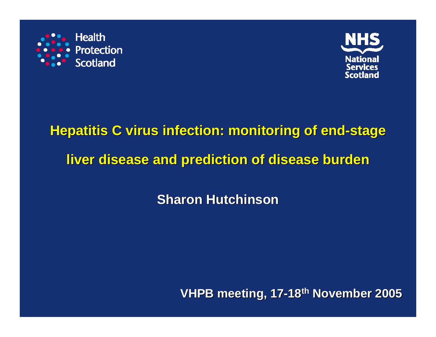



## **Hepatitis C virus infection: monitoring of end-stage liver disease and prediction of disease burden liver disease and prediction of disease burden**

**Sharon Hutchinson Sharon Hutchinson**

**VHPB meeting, 17 VHPB meeting, 17 -18th November 2005 November 2005**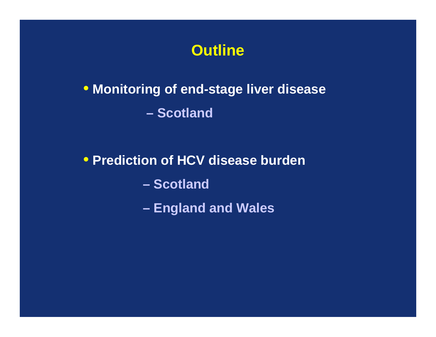

## • **Monitoring of end-stage liver disease – Scotland**

#### • **Prediction of HCV disease burden**

**– Scotland**

**England and Wales**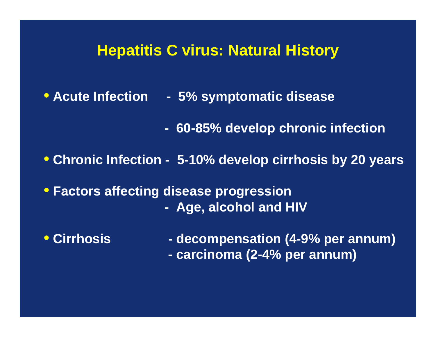#### **Hepatitis C virus: Natural History**

- **Acute Infection - 5% symptomatic disease**
	- **- 60-85% develop chronic infection**
- **Chronic Infection - 5-10% develop cirrhosis by 20 years**
- **Factors affecting disease progression - Age, alcohol and HIV**
- **Cirrhosis**

**- decompensation (4-9% per annum) - carcinoma (2-4% per annum)**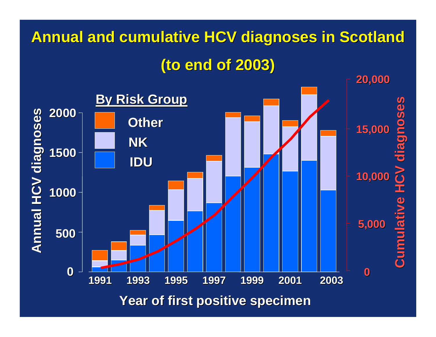# **Annual and cumulative HCV diagnoses in Scotland**

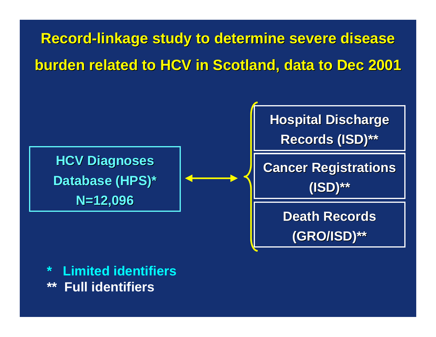**Record-linkage study to determine severe disease burden related to HCV in Scotland, data to Dec 2001 burden related to HCV in Scotland, data to Dec 2001**



**\* Limited identifiers\*\* Full identifiers**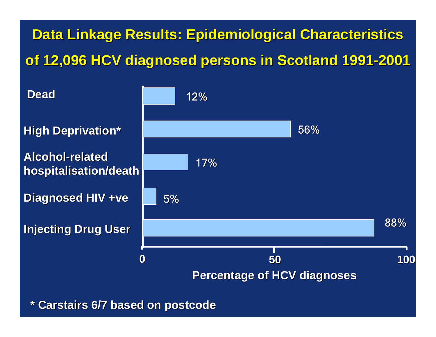**Data Linkage Results: Epidemiological Characteristics of 12,096 HCV diagnosed persons in Scotland 1991 of 12,096 HCV diagnosed persons in Scotland 1991 -2001**



**\* Carstairs Carstairs 6/7 based on postcode 6/7 based on postcode**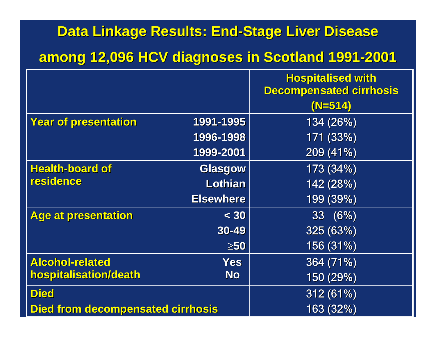#### **Data Linkage Results: End Data Linkage Results: End -Stage Liver Disease Stage Liver Disease**

#### **among 12,096 HCV diagnoses in Scotland 1991 among 12,096 HCV diagnoses in Scotland 1991 -2001**

|                                          |                  | <b>Hospitalised with</b><br><b>Decompensated cirrhosis</b> |
|------------------------------------------|------------------|------------------------------------------------------------|
|                                          |                  | $(N=514)$                                                  |
| <b>Year of presentation</b>              | 1991-1995        | 134 (26%)                                                  |
|                                          | 1996-1998        | 171 (33%)                                                  |
|                                          | 1999-2001        | 209 (41%)                                                  |
| <b>Health-board of</b>                   | <b>Glasgow</b>   | 173 (34%)                                                  |
| residence                                | Lothian          | 142 (28%)                                                  |
|                                          | <b>Elsewhere</b> | 199 (39%)                                                  |
| Age at presentation                      | < 30             | 33 (6%)                                                    |
|                                          | 30-49            | 325 (63%)                                                  |
|                                          | $\geq 50$        | 156 (31%)                                                  |
| <b>Alcohol-related</b>                   | <b>Yes</b>       | 364 (71%)                                                  |
| hospitalisation/death                    | <b>No</b>        | 150(29%)                                                   |
| <b>Died</b>                              |                  | 312 (61%)                                                  |
| <b>Died from decompensated cirrhosis</b> |                  | 163 (32%)                                                  |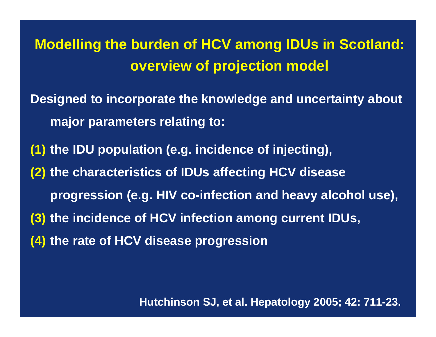**Modelling the burden of HCV among IDUs in Scotland: overview of projection model**

**Designed to incorporate the knowledge and uncertainty about major parameters relating to:**

**(1) the IDU population (e.g. incidence of injecting),** 

- **(2) the characteristics of IDUs affecting HCV disease** 
	- **progression (e.g. HIV co-infection and heavy alcohol use),**
- **(3) the incidence of HCV infection among current IDUs,**
- **(4) the rate of HCV disease progression**

**Hutchinson SJ, et al. Hepatology 2005; 42: 711-23.**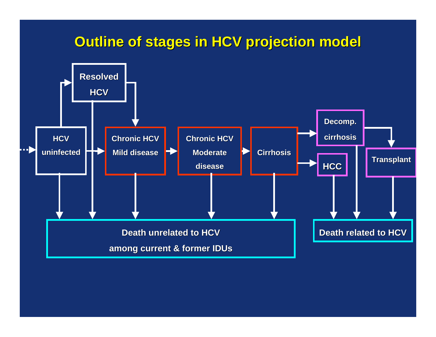#### **Outline of stages in HCV projection model**

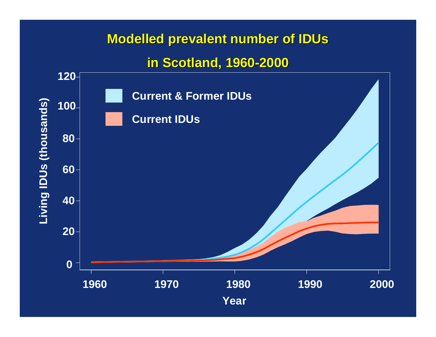#### **Modelled prevalent number of IDUs**

#### **in Scotland, 1960 in Scotland, 1960-2000**

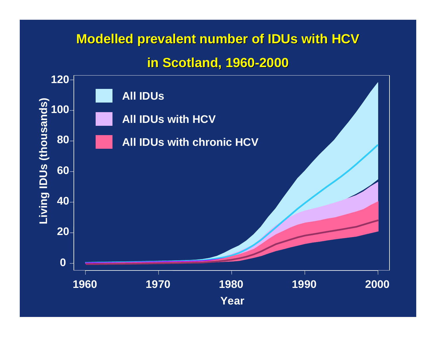#### **Modelled prevalent number of IDUs with HCV**

#### **in Scotland, 1960 in Scotland, 1960 -2000**

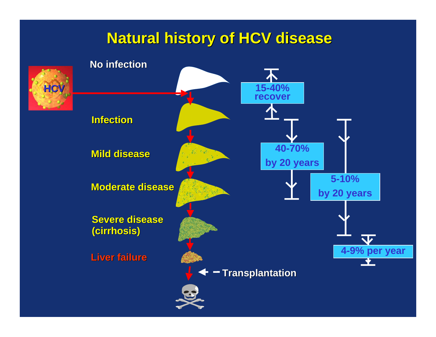#### **Natural history of HCV disease Natural history of HCV disease**

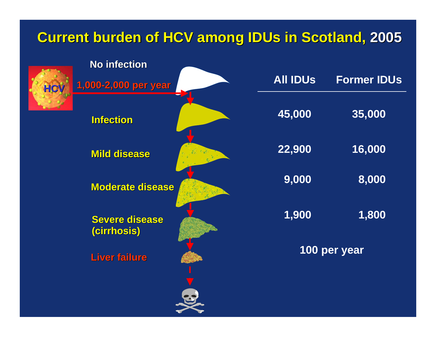## **Current burden of HCV among IDUs in Scotland, 2005**

| <b>No infection</b>                  |                 |                    |
|--------------------------------------|-----------------|--------------------|
| 1,000-2,000 per year<br>HCV          | <b>All IDUs</b> | <b>Former IDUs</b> |
| <b>Infection</b>                     | 45,000          | 35,000             |
| <b>Mild disease</b>                  | 22,900          | 16,000             |
| <b>Moderate disease</b>              | 9,000           | 8,000              |
| <b>Severe disease</b><br>(cirrhosis) | 1,900           | 1,800              |
| <b>Liver failure</b>                 | 100 per year    |                    |
|                                      |                 |                    |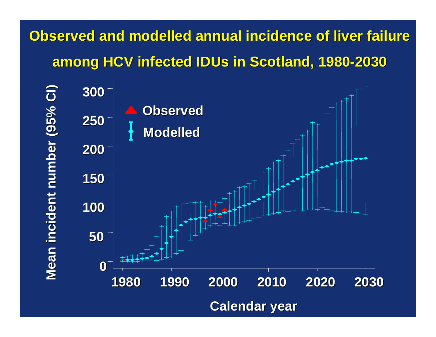## **Observed and modelled annual incidence of liver failure among HCV infected among HCV infected IDUs in Scotland, 1980 in Scotland, 1980 -2030**

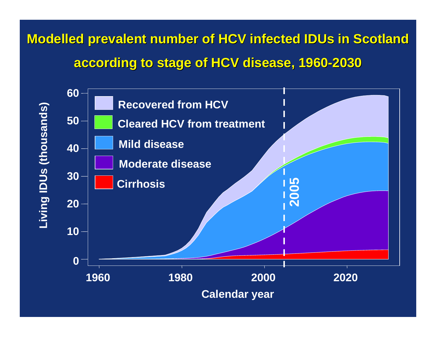## **Modelled prevalent number of HCV infected IDUs in Scotland according to stage of HCV disease, 1960 according to stage of HCV disease, 1960 -2030**

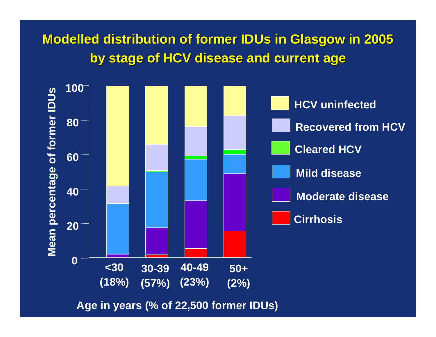#### **Modelled distribution of former IDUs in Glasgow in 2005 by stage of HCV disease and current age by stage of HCV disease and current age**



**Age in years (% of 22,500 former IDUs)**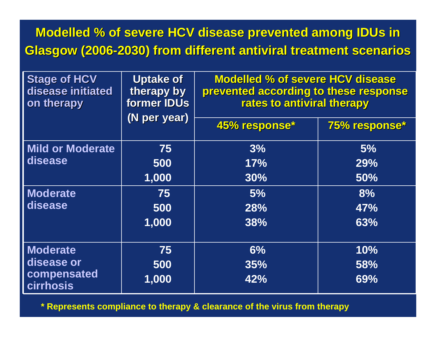### **Modelled % of severe HCV disease prevented among IDUs in Glasgow (2006-2030) from different antiviral treatment scenarios**

| <b>Stage of HCV</b><br>disease initiated<br>on therapy    | <b>Uptake of</b><br>therapy by<br><b>former IDUs</b><br>(N per year) | <b>Modelled % of severe HCV disease</b><br>prevented according to these response<br>rates to antiviral therapy |               |  |
|-----------------------------------------------------------|----------------------------------------------------------------------|----------------------------------------------------------------------------------------------------------------|---------------|--|
|                                                           |                                                                      | 45% response*                                                                                                  | 75% response* |  |
| Mild or Moderate                                          | 75                                                                   | 3%                                                                                                             | 5%            |  |
| disease                                                   | 500                                                                  | 17%                                                                                                            | 29%           |  |
|                                                           | 1,000                                                                | 30%                                                                                                            | 50%           |  |
| Moderate                                                  | 75                                                                   | 5%                                                                                                             | 8%            |  |
| disease                                                   | 500                                                                  | 28%                                                                                                            | 47%           |  |
|                                                           | 1,000                                                                | 38%                                                                                                            | 63%           |  |
| Moderate<br>disease or<br>compensated<br><b>cirrhosis</b> | 75                                                                   | 6%                                                                                                             | 10%           |  |
|                                                           | 500                                                                  | 35%                                                                                                            | 58%           |  |
|                                                           | 1,000                                                                | 42%                                                                                                            | 69%           |  |

**\* Represents compliance to therapy & clearance of the virus from therapy**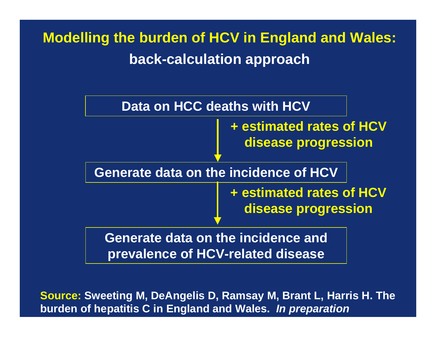## **Modelling the burden of HCV in England and Wales: back-calculation approach**



**Source: Sweeting M, DeAngelis D, Ramsay M, Brant L, Harris H. The bur den of hepatitis C in England and Wales.** *In preparation*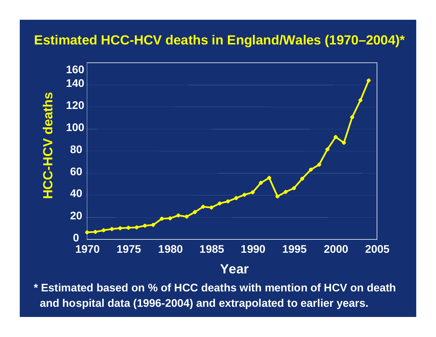#### **Estimated HCC-HCV deaths in England/Wales (1970–2004)\***



**\* Estimated based on % of HCC deaths with mention of HCV on death and hospital data (1996-2004) and extrapolated to earlier years.**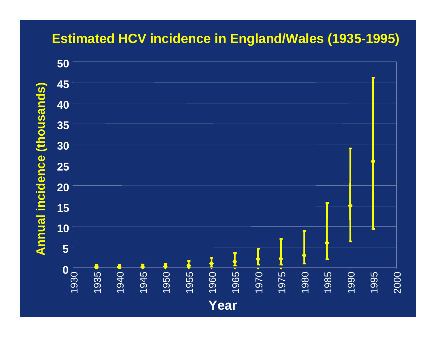#### **Estimated HCV incidence in England/Wales (1935-1995)**

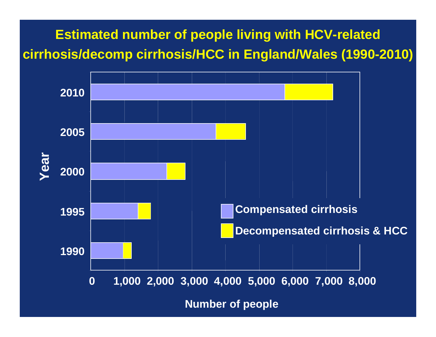**Estimated number of people living with HCV-related cirrhosis/decomp cirrhosis/HCC in England/Wales (1990-2010)**



**Number of people**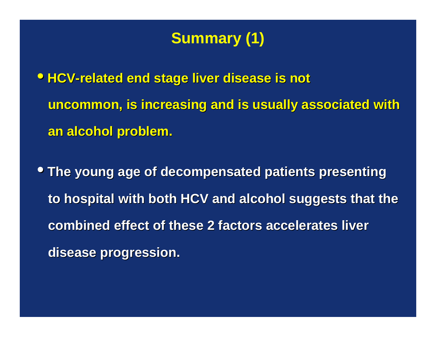## **Summary (1)**

**• HCV-related end stage liver disease is not uncommon, is increasing and is usually associated with uncommon, is increasing and is usually associated with an alcohol problem. an alcohol problem.**

**• The young age of decompensated patients presenting to hospital with both HCV and alcohol suggests that the to hospital with both HCV and alcohol suggests that the combined effect of these 2 factors accelerates liver combined effect of these 2 factors accelerates liverdisease progression. disease progression.**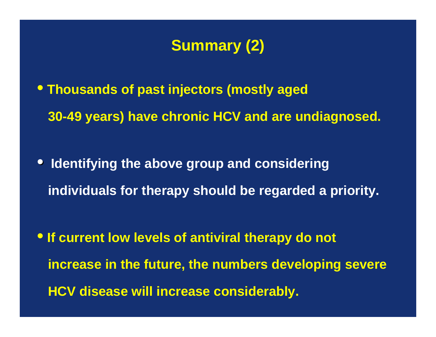## **Summary (2)**

• **Thousands of past injectors (mostly aged 30-49 years) have chronic HCV and are undiagnosed.**

• **Identifying the above group and considering individuals for therapy should be regarded a priority.**

• **If current low levels of antiviral therapy do not increase in the future, the numbers developing severe HCV disease will increase considerably.**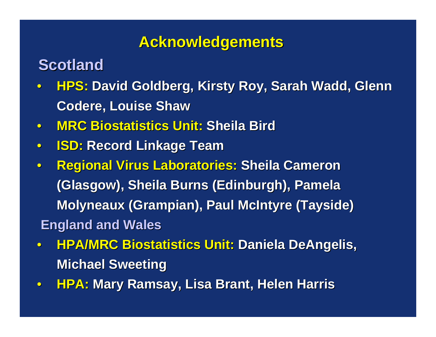### **Acknowledgements Acknowledgements**

## **Scotland Scotland**

- $\bullet$ **HPS: David Goldberg, Kirsty Roy, Sarah Wadd, Glenn Codere, Louise Shaw , Louise Shaw**
- $\bullet$ **MRC Biostatistics Biostatistics Unit: Sheila Bird Sheila Bird**
- $\bullet$ **ISD: Record Linkage Team Record Linkage Team**
- $\bullet$ **Regional Virus Laboratories: Sheila Cameron (Glasgow), Sheila Burns (Edinburgh), Pamela (Glasgow), Sheila Burns (Edinburgh), Pamela Molyneaux (Grampian), Paul McIntyre (Tayside) England and Wales England and Wales**
- $\bullet$ **• HPA/MRC Biostatistics Unit: Daniela DeAngelis, Michael Sweeting**
- $\bullet$ **HPA: Mary Ramsay, Lisa Brant, Helen Harris**